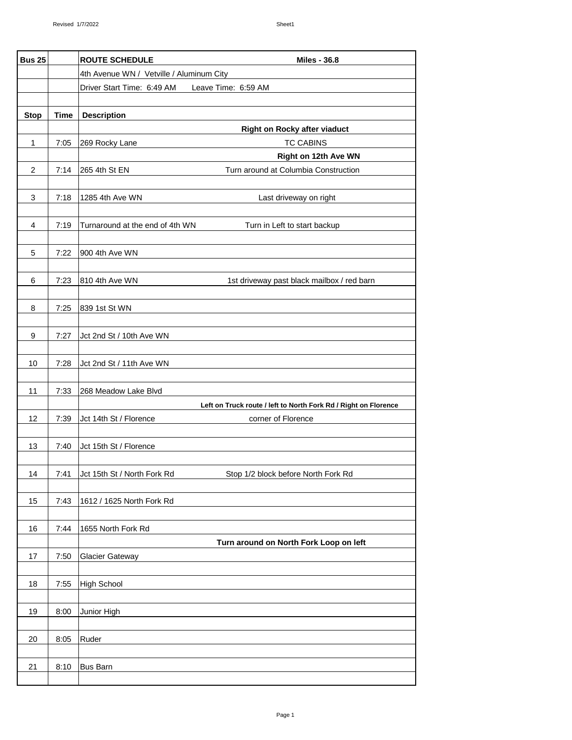| <b>Bus 25</b>  |             | <b>ROUTE SCHEDULE</b><br><b>Miles - 36.8</b>                       |
|----------------|-------------|--------------------------------------------------------------------|
|                |             | 4th Avenue WN / Vetville / Aluminum City                           |
|                |             | Driver Start Time: 6:49 AM Leave Time: 6:59 AM                     |
| <b>Stop</b>    | <b>Time</b> | <b>Description</b>                                                 |
|                |             | Right on Rocky after viaduct                                       |
| 1              | 7:05        | <b>TC CABINS</b><br>269 Rocky Lane                                 |
|                |             | Right on 12th Ave WN                                               |
| $\overline{2}$ | 7:14        | Turn around at Columbia Construction<br>265 4th St EN              |
| 3              | 7:18        | 1285 4th Ave WN<br>Last driveway on right                          |
| 4              | 7:19        | Turnaround at the end of 4th WN<br>Turn in Left to start backup    |
| $\mathbf 5$    | 7:22        | 900 4th Ave WN                                                     |
| 6              | 7:23        | 810 4th Ave WN<br>1st driveway past black mailbox / red barn       |
| 8              | 7:25        | 839 1st St WN                                                      |
| 9              | 7:27        | Jct 2nd St / 10th Ave WN                                           |
| 10             | 7:28        | Jct 2nd St / 11th Ave WN                                           |
| 11             | 7:33        | 268 Meadow Lake Blvd                                               |
|                |             | Left on Truck route / left to North Fork Rd / Right on Florence    |
| 12             | 7:39        | corner of Florence<br>Jct 14th St / Florence                       |
| 13             | 7:40        | Jct 15th St / Florence                                             |
| 14             | 7:41        | Jct 15th St / North Fork Rd<br>Stop 1/2 block before North Fork Rd |
| 15             | 7:43        | 1612 / 1625 North Fork Rd                                          |
| 16             | 7:44        | 1655 North Fork Rd                                                 |
| 17             | 7:50        | Turn around on North Fork Loop on left<br><b>Glacier Gateway</b>   |
| 18             | 7:55        | <b>High School</b>                                                 |
| 19             | 8:00        | Junior High                                                        |
| 20             | 8:05        | Ruder                                                              |
| 21             | 8:10        | <b>Bus Barn</b>                                                    |